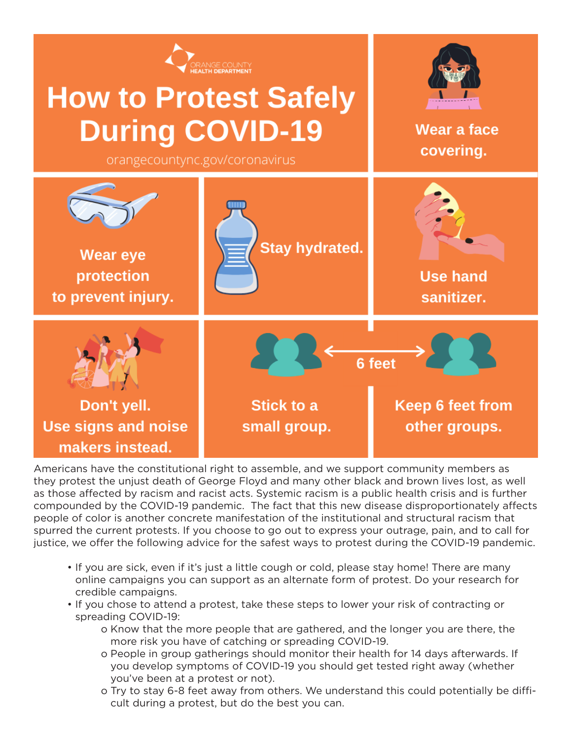

Americans have the constitutional right to assemble, and we support community members as they protest the unjust death of George Floyd and many other black and brown lives lost, as well as those affected by racism and racist acts. Systemic racism is a public health crisis and is further compounded by the COVID-19 pandemic. The fact that this new disease disproportionately affects people of color is another concrete manifestation of the institutional and structural racism that spurred the current protests. If you choose to go out to express your outrage, pain, and to call for justice, we offer the following advice for the safest ways to protest during the COVID-19 pandemic.

- If you are sick, even if it's just a little cough or cold, please stay home! There are many online campaigns you can support as an alternate form of protest. Do your research for credible campaigns.
- If you chose to attend a protest, take these steps to lower your risk of contracting or spreading COVID-19:
	- o Know that the more people that are gathered, and the longer you are there, the more risk you have of catching or spreading COVID-19.
	- o People in group gatherings should monitor their health for 14 days afterwards. If you develop symptoms of COVID-19 you should get tested right away (whether you've been at a protest or not).
	- o Try to stay 6-8 feet away from others. We understand this could potentially be difficult during a protest, but do the best you can.